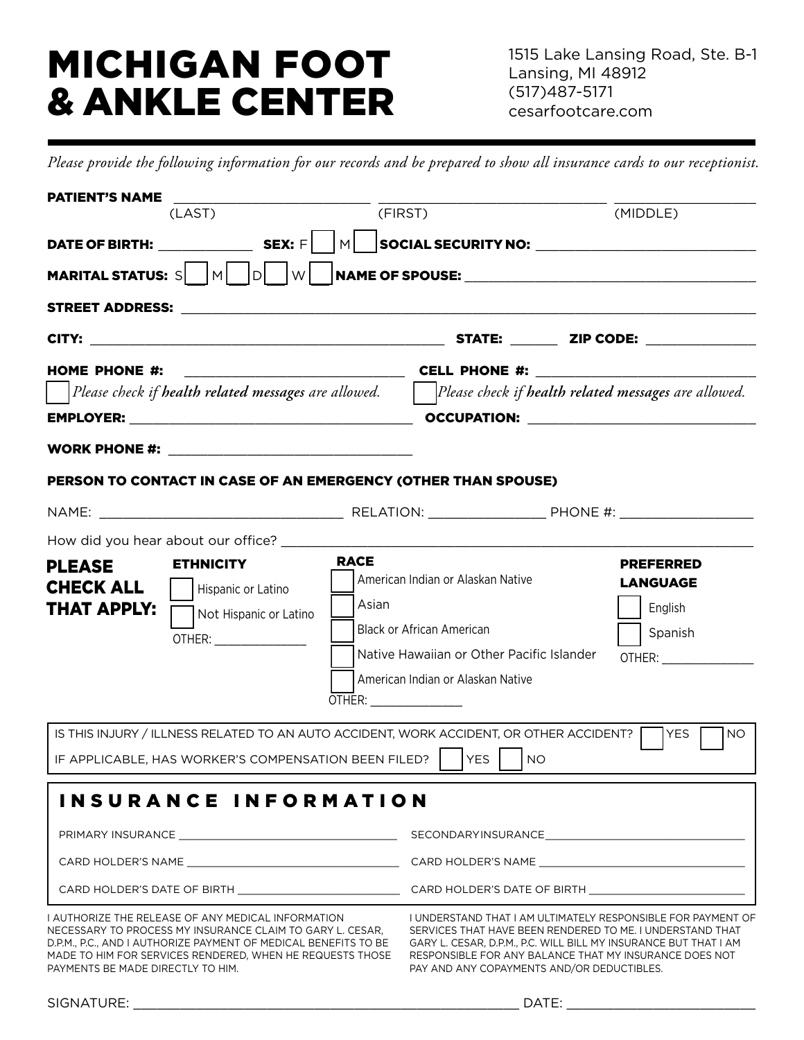# MICHIGAN FOOT & ANKLE CENTER

*Please provide the following information for our records and be prepared to show all insurance cards to our receptionist.*

| <b>PATIENT'S NAME</b>                                                                                                                                                                                                                                                                |                                                                                                                                                                                                                                                                                                       |
|--------------------------------------------------------------------------------------------------------------------------------------------------------------------------------------------------------------------------------------------------------------------------------------|-------------------------------------------------------------------------------------------------------------------------------------------------------------------------------------------------------------------------------------------------------------------------------------------------------|
| (FIRST)<br>(LAST)                                                                                                                                                                                                                                                                    | (MIDDLE)                                                                                                                                                                                                                                                                                              |
|                                                                                                                                                                                                                                                                                      |                                                                                                                                                                                                                                                                                                       |
| MARITAL STATUS: S $\begin{array}{ c c c c c }\n\hline\n\text{M}} & \text{D} & \text{W} & \text{NAME OF SPOUSE:}\n\end{array}$                                                                                                                                                        |                                                                                                                                                                                                                                                                                                       |
|                                                                                                                                                                                                                                                                                      |                                                                                                                                                                                                                                                                                                       |
|                                                                                                                                                                                                                                                                                      |                                                                                                                                                                                                                                                                                                       |
| <b>HOME PHONE #:</b>                                                                                                                                                                                                                                                                 | $\begin{array}{ccc}\n\textbf{E} & \textbf{E} \\ \hline\n\end{array}$ $\begin{array}{ccc}\n\textbf{E} & \textbf{E} \\ \hline\n\end{array}$                                                                                                                                                             |
|                                                                                                                                                                                                                                                                                      |                                                                                                                                                                                                                                                                                                       |
|                                                                                                                                                                                                                                                                                      |                                                                                                                                                                                                                                                                                                       |
|                                                                                                                                                                                                                                                                                      |                                                                                                                                                                                                                                                                                                       |
| PERSON TO CONTACT IN CASE OF AN EMERGENCY (OTHER THAN SPOUSE)                                                                                                                                                                                                                        |                                                                                                                                                                                                                                                                                                       |
|                                                                                                                                                                                                                                                                                      |                                                                                                                                                                                                                                                                                                       |
| How did you hear about our office? _______                                                                                                                                                                                                                                           |                                                                                                                                                                                                                                                                                                       |
| <b>RACE</b><br><b>ETHNICITY</b><br><b>PLEASE</b><br><b>CHECK ALL</b><br>Hispanic or Latino<br>Asian<br><b>THAT APPLY:</b><br>Not Hispanic or Latino<br>OTHER: _________________<br>OTHER: _________________                                                                          | <b>PREFERRED</b><br>American Indian or Alaskan Native<br><b>LANGUAGE</b><br>English<br><b>Black or African American</b><br>Spanish<br>Native Hawaiian or Other Pacific Islander<br>American Indian or Alaskan Native                                                                                  |
| IS THIS INJURY / ILLNESS RELATED TO AN AUTO ACCIDENT, WORK ACCIDENT, OR OTHER ACCIDENT? THES                                                                                                                                                                                         | <b>NO</b>                                                                                                                                                                                                                                                                                             |
| IF APPLICABLE, HAS WORKER'S COMPENSATION BEEN FILED?    YES                                                                                                                                                                                                                          | <b>NO</b>                                                                                                                                                                                                                                                                                             |
| INSURANCE INFORMATION                                                                                                                                                                                                                                                                |                                                                                                                                                                                                                                                                                                       |
|                                                                                                                                                                                                                                                                                      |                                                                                                                                                                                                                                                                                                       |
| I AUTHORIZE THE RELEASE OF ANY MEDICAL INFORMATION<br>NECESSARY TO PROCESS MY INSURANCE CLAIM TO GARY L. CESAR.<br>D.P.M., P.C., AND I AUTHORIZE PAYMENT OF MEDICAL BENEFITS TO BE<br>MADE TO HIM FOR SERVICES RENDERED, WHEN HE REQUESTS THOSE<br>PAYMENTS BE MADE DIRECTLY TO HIM. | I UNDERSTAND THAT I AM ULTIMATELY RESPONSIBLE FOR PAYMENT OF<br>SERVICES THAT HAVE BEEN RENDERED TO ME. I UNDERSTAND THAT<br>GARY L. CESAR. D.P.M., P.C. WILL BILL MY INSURANCE BUT THAT I AM<br>RESPONSIBLE FOR ANY BALANCE THAT MY INSURANCE DOES NOT<br>PAY AND ANY COPAYMENTS AND/OR DEDUCTIBLES. |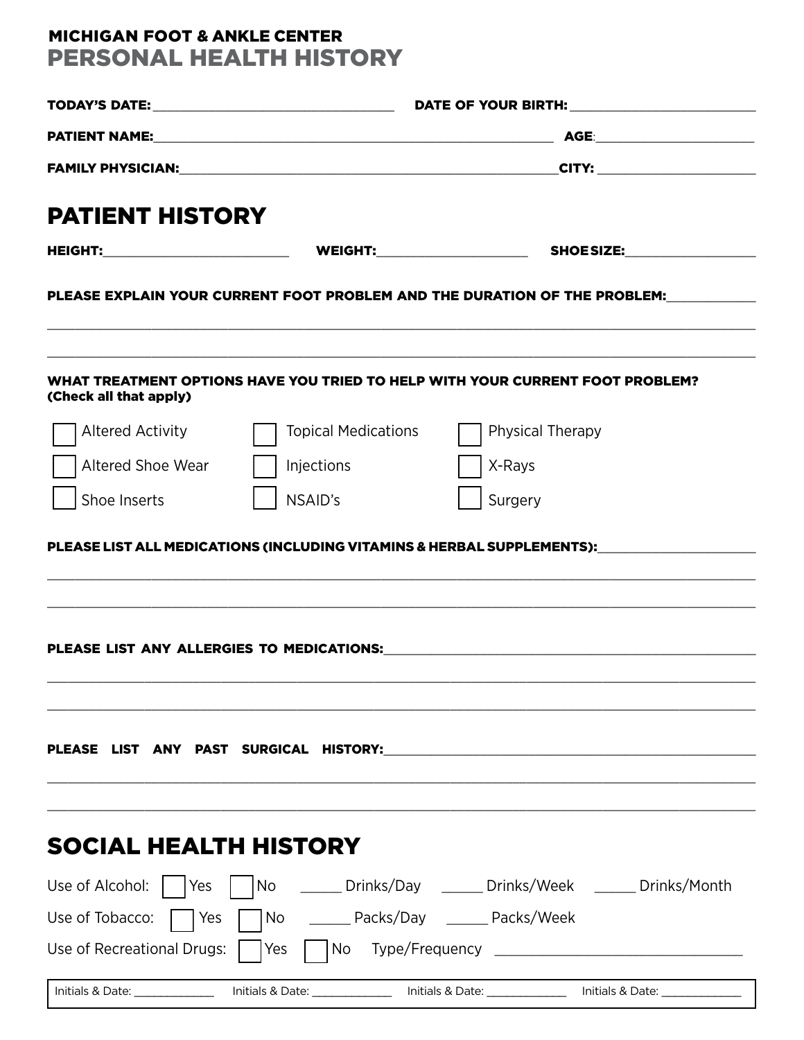## MICHIGAN FOOT & ANKLE CENTER PERSONAL HEALTH HISTORY

| <b>PATIENT HISTORY</b>        |                            |                                                                                                                                                                                                                                |  |  |  |  |  |
|-------------------------------|----------------------------|--------------------------------------------------------------------------------------------------------------------------------------------------------------------------------------------------------------------------------|--|--|--|--|--|
|                               |                            |                                                                                                                                                                                                                                |  |  |  |  |  |
|                               |                            | PLEASE EXPLAIN YOUR CURRENT FOOT PROBLEM AND THE DURATION OF THE PROBLEM:                                                                                                                                                      |  |  |  |  |  |
| (Check all that apply)        |                            | WHAT TREATMENT OPTIONS HAVE YOU TRIED TO HELP WITH YOUR CURRENT FOOT PROBLEM?                                                                                                                                                  |  |  |  |  |  |
| <b>Altered Activity</b>       | <b>Topical Medications</b> | Physical Therapy                                                                                                                                                                                                               |  |  |  |  |  |
| Altered Shoe Wear             | Injections                 | X-Rays                                                                                                                                                                                                                         |  |  |  |  |  |
| Shoe Inserts                  | NSAID's                    | Surgery                                                                                                                                                                                                                        |  |  |  |  |  |
|                               |                            |                                                                                                                                                                                                                                |  |  |  |  |  |
|                               |                            | PLEASE LIST ANY PAST SURGICAL HISTORY: Network and the contract of the contract of the contract of the contract of the contract of the contract of the contract of the contract of the contract of the contract of the contrac |  |  |  |  |  |
| <b>SOCIAL HEALTH HISTORY</b>  |                            |                                                                                                                                                                                                                                |  |  |  |  |  |
| Use of Alcohol: $ $   Yes     |                            | No ______ Drinks/Day ______ Drinks/Week ______ Drinks/Month                                                                                                                                                                    |  |  |  |  |  |
| Use of Tobacco:<br><b>Yes</b> |                            | No _______ Packs/Day _______ Packs/Week                                                                                                                                                                                        |  |  |  |  |  |
| Use of Recreational Drugs:    | $\vert$ $\vert$ No<br> Yes |                                                                                                                                                                                                                                |  |  |  |  |  |
|                               |                            | Initials & Date: _________________ Initials & Date: __________________ Initials & Date: __________________ Initials & Date: ____________________                                                                               |  |  |  |  |  |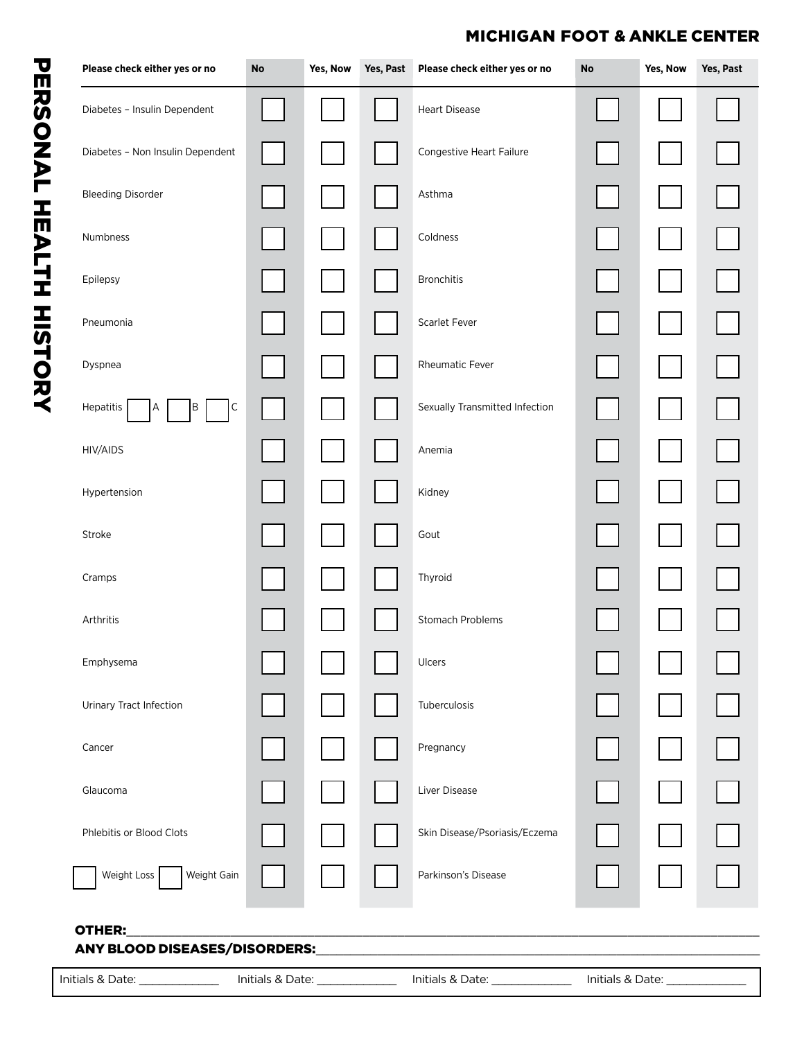## MICHIGAN FOOT & ANKLE CENTER

|                                                | Yes, Now | Yes, Past | Please check either yes or no  | $\mathop{\sf No}\nolimits$ | Yes, Now | Yes, Past |
|------------------------------------------------|----------|-----------|--------------------------------|----------------------------|----------|-----------|
| Diabetes - Insulin Dependent                   |          |           | <b>Heart Disease</b>           |                            |          |           |
| Diabetes - Non Insulin Dependent               |          |           | Congestive Heart Failure       |                            |          |           |
| <b>Bleeding Disorder</b>                       |          |           | Asthma                         |                            |          |           |
| Numbness                                       |          |           | Coldness                       |                            |          |           |
| Epilepsy                                       |          |           | Bronchitis                     |                            |          |           |
| Pneumonia                                      |          |           | Scarlet Fever                  |                            |          |           |
| Dyspnea                                        |          |           | Rheumatic Fever                |                            |          |           |
| Hepatitis<br>$\mathsf C$<br>B<br>Α             |          |           | Sexually Transmitted Infection |                            |          |           |
| HIV/AIDS                                       |          |           | Anemia                         |                            |          |           |
| Hypertension                                   |          |           | Kidney                         |                            |          |           |
| Stroke                                         |          |           | Gout                           |                            |          |           |
| Cramps                                         |          |           | Thyroid                        |                            |          |           |
| Arthritis                                      |          |           | Stomach Problems               |                            |          |           |
| Emphysema                                      |          |           | Ulcers                         |                            |          |           |
| Urinary Tract Infection                        |          |           | Tuberculosis                   |                            |          |           |
| Cancer                                         |          |           | Pregnancy                      |                            |          |           |
| Glaucoma                                       |          |           | Liver Disease                  |                            |          |           |
| Phlebitis or Blood Clots                       |          |           | Skin Disease/Psoriasis/Eczema  |                            |          |           |
| Weight Loss<br>Weight Gain                     |          |           | Parkinson's Disease            |                            |          |           |
| OTHER:<br><b>ANY BLOOD DISEASES/DISORDERS:</b> |          |           |                                |                            |          |           |

 $\sqrt{2}$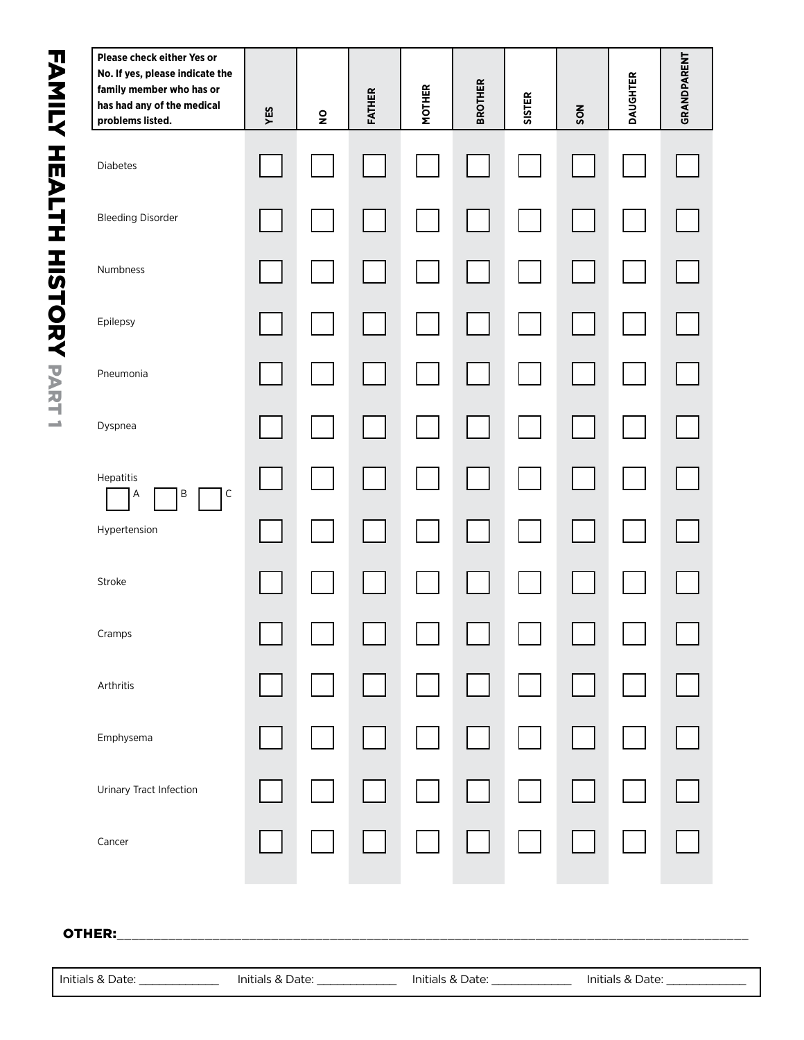| family member who has or<br>has had any of the medical<br>problems listed. | YES | $\mathbf{S}$ | <b>FATHER</b> | <b>MOTHER</b> | <b>BROTHER</b> | <b>SISTER</b> | SON | <b>DAUGHTER</b> | GRANDPARENT |
|----------------------------------------------------------------------------|-----|--------------|---------------|---------------|----------------|---------------|-----|-----------------|-------------|
| Diabetes                                                                   |     |              |               |               |                |               |     |                 |             |
| <b>Bleeding Disorder</b>                                                   |     |              |               |               |                |               |     |                 |             |
| Numbness                                                                   |     |              |               |               |                |               |     |                 |             |
| Epilepsy                                                                   |     |              |               |               |                |               |     |                 |             |
| Pneumonia                                                                  |     |              |               |               |                |               |     |                 |             |
| Dyspnea                                                                    |     |              |               |               |                |               |     |                 |             |
| Hepatitis<br>$\mathsf C$<br>Β<br>А                                         |     |              |               |               |                |               |     |                 |             |
| Hypertension                                                               |     |              |               |               |                |               |     |                 |             |
| Stroke                                                                     |     |              |               |               |                |               |     |                 |             |
| Cramps                                                                     |     |              |               |               |                |               |     |                 |             |
| Arthritis                                                                  |     |              |               |               |                |               |     |                 |             |
| Emphysema                                                                  |     |              |               |               |                |               |     |                 |             |
| Urinary Tract Infection                                                    |     |              |               |               |                |               |     |                 |             |
| Cancer                                                                     |     |              |               |               |                |               |     |                 |             |

#### OTHER:\_\_\_\_\_\_\_\_\_\_\_\_\_\_\_\_\_\_\_\_\_\_\_\_\_\_\_\_\_\_\_\_\_\_\_\_\_\_\_\_\_\_\_\_\_\_\_\_\_\_\_\_\_\_\_\_\_\_\_\_\_\_\_\_\_\_\_\_\_\_\_\_\_\_\_\_\_\_\_\_\_\_\_\_\_\_